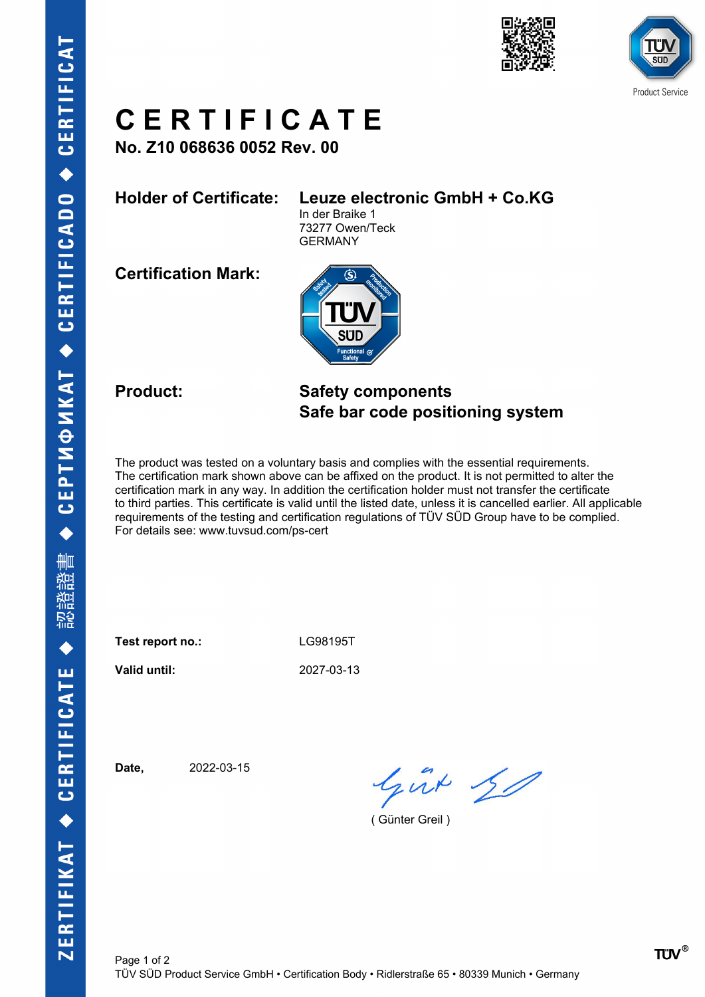



## **C E R T I F I C A T E**

**No. Z10 068636 0052 Rev. 00**

### **Holder of Certificate: Leuze electronic GmbH + Co.KG**

In der Braike 1 73277 Owen/Teck GERMANY

**Certification Mark:**



### **Product: Safety components Safe bar code positioning system**

The product was tested on a voluntary basis and complies with the essential requirements. The certification mark shown above can be affixed on the product. It is not permitted to alter the certification mark in any way. In addition the certification holder must not transfer the certificate to third parties. This certificate is valid until the listed date, unless it is cancelled earlier. All applicable requirements of the testing and certification regulations of TÜV SÜD Group have to be complied. For details see: www.tuvsud.com/ps-cert

**Test report no.:** LG98195T

**Valid until:** 2027-03-13

**Date,** 2022-03-15

Gut 30

( Günter Greil )